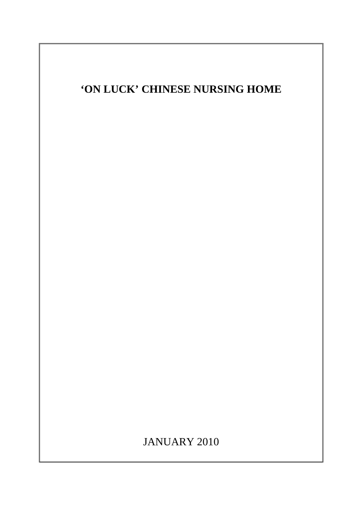

JANUARY 2010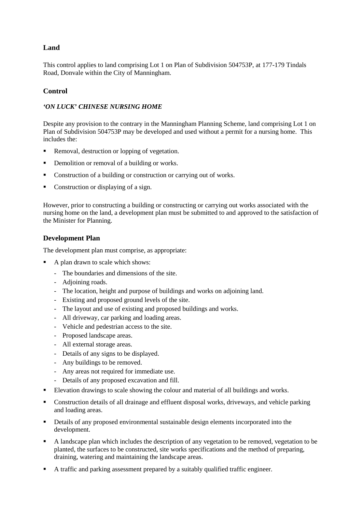# **Land**

This control applies to land comprising Lot 1 on Plan of Subdivision 504753P, at 177-179 Tindals Road, Donvale within the City of Manningham.

# **Control**

#### *'ON LUCK' CHINESE NURSING HOME*

Despite any provision to the contrary in the Manningham Planning Scheme, land comprising Lot 1 on Plan of Subdivision 504753P may be developed and used without a permit for a nursing home. This includes the:

- Removal, destruction or lopping of vegetation.
- Demolition or removal of a building or works.
- Construction of a building or construction or carrying out of works.
- Construction or displaying of a sign.

However, prior to constructing a building or constructing or carrying out works associated with the nursing home on the land, a development plan must be submitted to and approved to the satisfaction of the Minister for Planning.

### **Development Plan**

The development plan must comprise, as appropriate:

- A plan drawn to scale which shows:
	- The boundaries and dimensions of the site.
	- Adjoining roads.
	- The location, height and purpose of buildings and works on adjoining land.
	- Existing and proposed ground levels of the site.
	- The layout and use of existing and proposed buildings and works.
	- All driveway, car parking and loading areas.
	- Vehicle and pedestrian access to the site.
	- Proposed landscape areas.
	- All external storage areas.
	- Details of any signs to be displayed.
	- Any buildings to be removed.
	- Any areas not required for immediate use.
	- Details of any proposed excavation and fill.
- Elevation drawings to scale showing the colour and material of all buildings and works.
- Construction details of all drainage and effluent disposal works, driveways, and vehicle parking and loading areas.
- Details of any proposed environmental sustainable design elements incorporated into the development.
- A landscape plan which includes the description of any vegetation to be removed, vegetation to be planted, the surfaces to be constructed, site works specifications and the method of preparing, draining, watering and maintaining the landscape areas.
- A traffic and parking assessment prepared by a suitably qualified traffic engineer.